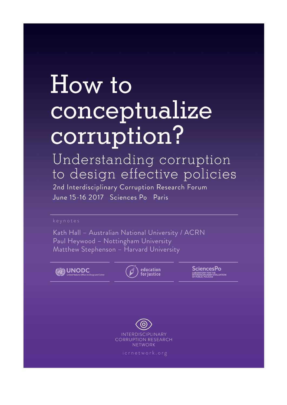## How to conceptualize corruption?

Understanding corruption to design effective policies

2nd Interdisciplinary Corruption Research Forum June 15-16\_2017 Sciences Po Paris

Kath Hall - Australian National University / ACRN Paul Heywood - Nottingham University Matthew Stephenson - Harvard University





**SciencesPo** LABORATORY FOR THE<br>INTERDISCIPLINARY EVALUATION<br>OF PURLIC POLICIES

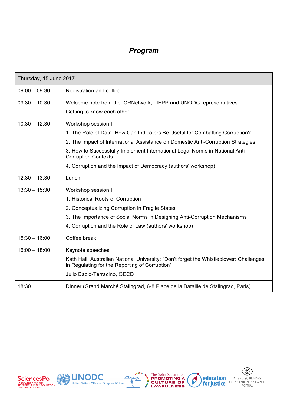## *Program*

| Thursday, 15 June 2017 |                                                                                                                                                                                                                                                                                                                                                                       |
|------------------------|-----------------------------------------------------------------------------------------------------------------------------------------------------------------------------------------------------------------------------------------------------------------------------------------------------------------------------------------------------------------------|
| $09:00 - 09:30$        | Registration and coffee                                                                                                                                                                                                                                                                                                                                               |
| $09:30 - 10:30$        | Welcome note from the ICRNetwork, LIEPP and UNODC representatives<br>Getting to know each other                                                                                                                                                                                                                                                                       |
| $10:30 - 12:30$        | Workshop session I<br>1. The Role of Data: How Can Indicators Be Useful for Combatting Corruption?<br>2. The Impact of International Assistance on Domestic Anti-Corruption Strategies<br>3. How to Successfully Implement International Legal Norms in National Anti-<br><b>Corruption Contexts</b><br>4. Corruption and the Impact of Democracy (authors' workshop) |
| $12:30 - 13:30$        | Lunch                                                                                                                                                                                                                                                                                                                                                                 |
| $13:30 - 15:30$        | Workshop session II<br>1. Historical Roots of Corruption<br>2. Conceptualizing Corruption in Fragile States<br>3. The Importance of Social Norms in Designing Anti-Corruption Mechanisms<br>4. Corruption and the Role of Law (authors' workshop)                                                                                                                     |
| $15:30 - 16:00$        | Coffee break                                                                                                                                                                                                                                                                                                                                                          |
| $16:00 - 18:00$        | Keynote speeches<br>Kath Hall, Australian National University: "Don't forget the Whistleblower: Challenges<br>in Regulating for the Reporting of Corruption"<br>Julio Bacio-Terracino, OECD                                                                                                                                                                           |
| 18:30                  | Dinner (Grand Marché Stalingrad, 6-8 Place de la Bataille de Stalingrad, Paris)                                                                                                                                                                                                                                                                                       |







 $\boldsymbol{\beta}$ 

**KRE**